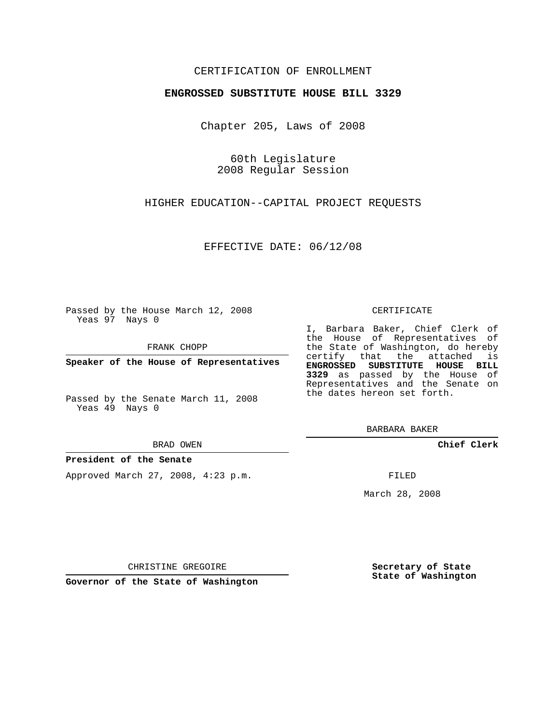## CERTIFICATION OF ENROLLMENT

### **ENGROSSED SUBSTITUTE HOUSE BILL 3329**

Chapter 205, Laws of 2008

60th Legislature 2008 Regular Session

HIGHER EDUCATION--CAPITAL PROJECT REQUESTS

EFFECTIVE DATE: 06/12/08

Passed by the House March 12, 2008 Yeas 97 Nays 0

FRANK CHOPP

**Speaker of the House of Representatives**

Passed by the Senate March 11, 2008 Yeas 49 Nays 0

BRAD OWEN

### **President of the Senate**

Approved March 27, 2008, 4:23 p.m.

#### CERTIFICATE

I, Barbara Baker, Chief Clerk of the House of Representatives of the State of Washington, do hereby certify that the attached is **ENGROSSED SUBSTITUTE HOUSE BILL 3329** as passed by the House of Representatives and the Senate on the dates hereon set forth.

BARBARA BAKER

**Chief Clerk**

FILED

March 28, 2008

CHRISTINE GREGOIRE

**Governor of the State of Washington**

**Secretary of State State of Washington**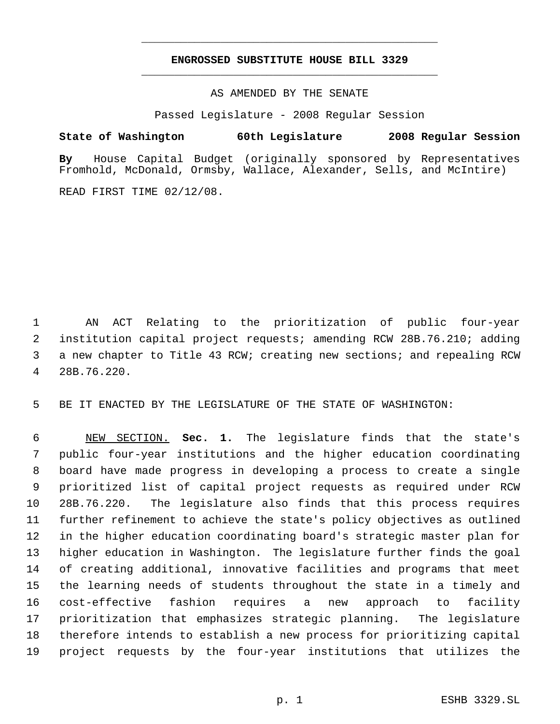# **ENGROSSED SUBSTITUTE HOUSE BILL 3329** \_\_\_\_\_\_\_\_\_\_\_\_\_\_\_\_\_\_\_\_\_\_\_\_\_\_\_\_\_\_\_\_\_\_\_\_\_\_\_\_\_\_\_\_\_

\_\_\_\_\_\_\_\_\_\_\_\_\_\_\_\_\_\_\_\_\_\_\_\_\_\_\_\_\_\_\_\_\_\_\_\_\_\_\_\_\_\_\_\_\_

AS AMENDED BY THE SENATE

Passed Legislature - 2008 Regular Session

**State of Washington 60th Legislature 2008 Regular Session By** House Capital Budget (originally sponsored by Representatives Fromhold, McDonald, Ormsby, Wallace, Alexander, Sells, and McIntire)

READ FIRST TIME 02/12/08.

 AN ACT Relating to the prioritization of public four-year institution capital project requests; amending RCW 28B.76.210; adding a new chapter to Title 43 RCW; creating new sections; and repealing RCW 28B.76.220.

BE IT ENACTED BY THE LEGISLATURE OF THE STATE OF WASHINGTON:

 NEW SECTION. **Sec. 1.** The legislature finds that the state's public four-year institutions and the higher education coordinating board have made progress in developing a process to create a single prioritized list of capital project requests as required under RCW 28B.76.220. The legislature also finds that this process requires further refinement to achieve the state's policy objectives as outlined in the higher education coordinating board's strategic master plan for higher education in Washington. The legislature further finds the goal of creating additional, innovative facilities and programs that meet the learning needs of students throughout the state in a timely and cost-effective fashion requires a new approach to facility prioritization that emphasizes strategic planning. The legislature therefore intends to establish a new process for prioritizing capital project requests by the four-year institutions that utilizes the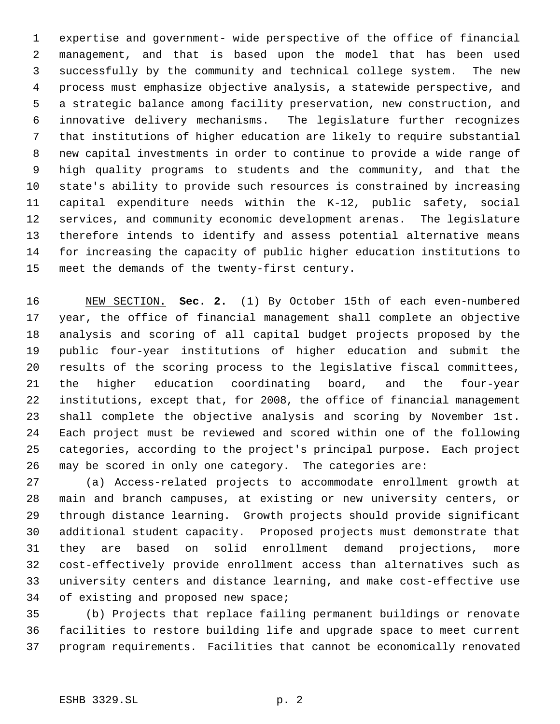expertise and government- wide perspective of the office of financial management, and that is based upon the model that has been used successfully by the community and technical college system. The new process must emphasize objective analysis, a statewide perspective, and a strategic balance among facility preservation, new construction, and innovative delivery mechanisms. The legislature further recognizes that institutions of higher education are likely to require substantial new capital investments in order to continue to provide a wide range of high quality programs to students and the community, and that the state's ability to provide such resources is constrained by increasing capital expenditure needs within the K-12, public safety, social services, and community economic development arenas. The legislature therefore intends to identify and assess potential alternative means for increasing the capacity of public higher education institutions to meet the demands of the twenty-first century.

 NEW SECTION. **Sec. 2.** (1) By October 15th of each even-numbered year, the office of financial management shall complete an objective analysis and scoring of all capital budget projects proposed by the public four-year institutions of higher education and submit the results of the scoring process to the legislative fiscal committees, the higher education coordinating board, and the four-year institutions, except that, for 2008, the office of financial management shall complete the objective analysis and scoring by November 1st. Each project must be reviewed and scored within one of the following categories, according to the project's principal purpose. Each project may be scored in only one category. The categories are:

 (a) Access-related projects to accommodate enrollment growth at main and branch campuses, at existing or new university centers, or through distance learning. Growth projects should provide significant additional student capacity. Proposed projects must demonstrate that they are based on solid enrollment demand projections, more cost-effectively provide enrollment access than alternatives such as university centers and distance learning, and make cost-effective use of existing and proposed new space;

 (b) Projects that replace failing permanent buildings or renovate facilities to restore building life and upgrade space to meet current program requirements. Facilities that cannot be economically renovated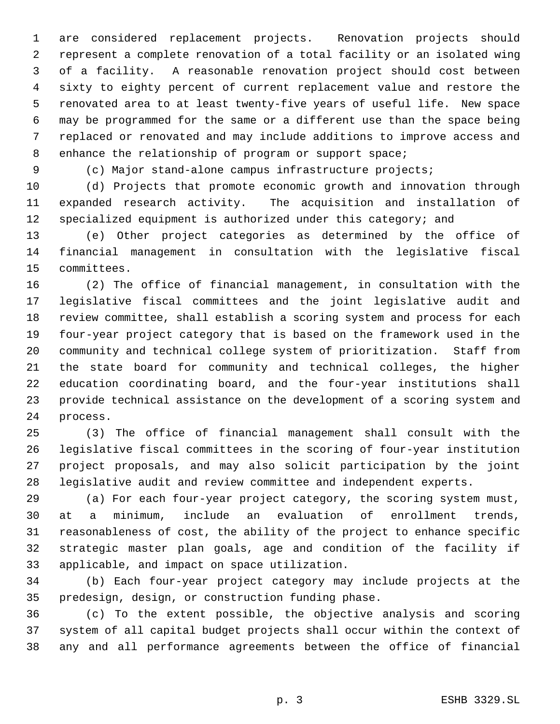are considered replacement projects. Renovation projects should represent a complete renovation of a total facility or an isolated wing of a facility. A reasonable renovation project should cost between sixty to eighty percent of current replacement value and restore the renovated area to at least twenty-five years of useful life. New space may be programmed for the same or a different use than the space being replaced or renovated and may include additions to improve access and 8 enhance the relationship of program or support space;

(c) Major stand-alone campus infrastructure projects;

 (d) Projects that promote economic growth and innovation through expanded research activity. The acquisition and installation of 12 specialized equipment is authorized under this category; and

 (e) Other project categories as determined by the office of financial management in consultation with the legislative fiscal committees.

 (2) The office of financial management, in consultation with the legislative fiscal committees and the joint legislative audit and review committee, shall establish a scoring system and process for each four-year project category that is based on the framework used in the community and technical college system of prioritization. Staff from the state board for community and technical colleges, the higher education coordinating board, and the four-year institutions shall provide technical assistance on the development of a scoring system and process.

 (3) The office of financial management shall consult with the legislative fiscal committees in the scoring of four-year institution project proposals, and may also solicit participation by the joint legislative audit and review committee and independent experts.

 (a) For each four-year project category, the scoring system must, at a minimum, include an evaluation of enrollment trends, reasonableness of cost, the ability of the project to enhance specific strategic master plan goals, age and condition of the facility if applicable, and impact on space utilization.

 (b) Each four-year project category may include projects at the predesign, design, or construction funding phase.

 (c) To the extent possible, the objective analysis and scoring system of all capital budget projects shall occur within the context of any and all performance agreements between the office of financial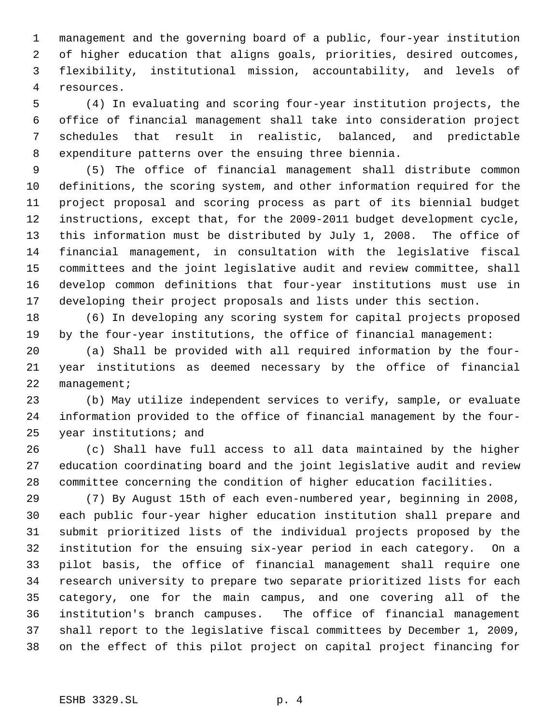management and the governing board of a public, four-year institution of higher education that aligns goals, priorities, desired outcomes, flexibility, institutional mission, accountability, and levels of resources.

 (4) In evaluating and scoring four-year institution projects, the office of financial management shall take into consideration project schedules that result in realistic, balanced, and predictable expenditure patterns over the ensuing three biennia.

 (5) The office of financial management shall distribute common definitions, the scoring system, and other information required for the project proposal and scoring process as part of its biennial budget instructions, except that, for the 2009-2011 budget development cycle, this information must be distributed by July 1, 2008. The office of financial management, in consultation with the legislative fiscal committees and the joint legislative audit and review committee, shall develop common definitions that four-year institutions must use in developing their project proposals and lists under this section.

 (6) In developing any scoring system for capital projects proposed by the four-year institutions, the office of financial management:

 (a) Shall be provided with all required information by the four- year institutions as deemed necessary by the office of financial 22 management;

 (b) May utilize independent services to verify, sample, or evaluate information provided to the office of financial management by the four-year institutions; and

 (c) Shall have full access to all data maintained by the higher education coordinating board and the joint legislative audit and review committee concerning the condition of higher education facilities.

 (7) By August 15th of each even-numbered year, beginning in 2008, each public four-year higher education institution shall prepare and submit prioritized lists of the individual projects proposed by the institution for the ensuing six-year period in each category. On a pilot basis, the office of financial management shall require one research university to prepare two separate prioritized lists for each category, one for the main campus, and one covering all of the institution's branch campuses. The office of financial management shall report to the legislative fiscal committees by December 1, 2009, on the effect of this pilot project on capital project financing for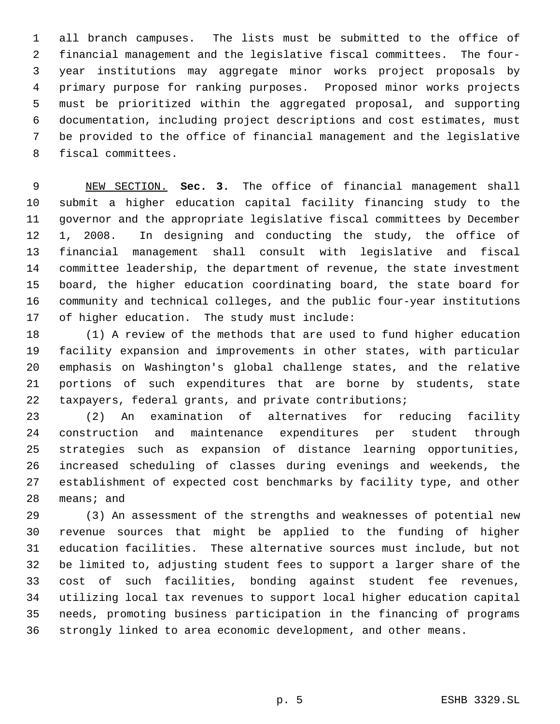all branch campuses. The lists must be submitted to the office of financial management and the legislative fiscal committees. The four- year institutions may aggregate minor works project proposals by primary purpose for ranking purposes. Proposed minor works projects must be prioritized within the aggregated proposal, and supporting documentation, including project descriptions and cost estimates, must be provided to the office of financial management and the legislative fiscal committees.

 NEW SECTION. **Sec. 3.** The office of financial management shall submit a higher education capital facility financing study to the governor and the appropriate legislative fiscal committees by December 1, 2008. In designing and conducting the study, the office of financial management shall consult with legislative and fiscal committee leadership, the department of revenue, the state investment board, the higher education coordinating board, the state board for community and technical colleges, and the public four-year institutions of higher education. The study must include:

 (1) A review of the methods that are used to fund higher education facility expansion and improvements in other states, with particular emphasis on Washington's global challenge states, and the relative portions of such expenditures that are borne by students, state taxpayers, federal grants, and private contributions;

 (2) An examination of alternatives for reducing facility construction and maintenance expenditures per student through strategies such as expansion of distance learning opportunities, increased scheduling of classes during evenings and weekends, the establishment of expected cost benchmarks by facility type, and other means; and

 (3) An assessment of the strengths and weaknesses of potential new revenue sources that might be applied to the funding of higher education facilities. These alternative sources must include, but not be limited to, adjusting student fees to support a larger share of the cost of such facilities, bonding against student fee revenues, utilizing local tax revenues to support local higher education capital needs, promoting business participation in the financing of programs strongly linked to area economic development, and other means.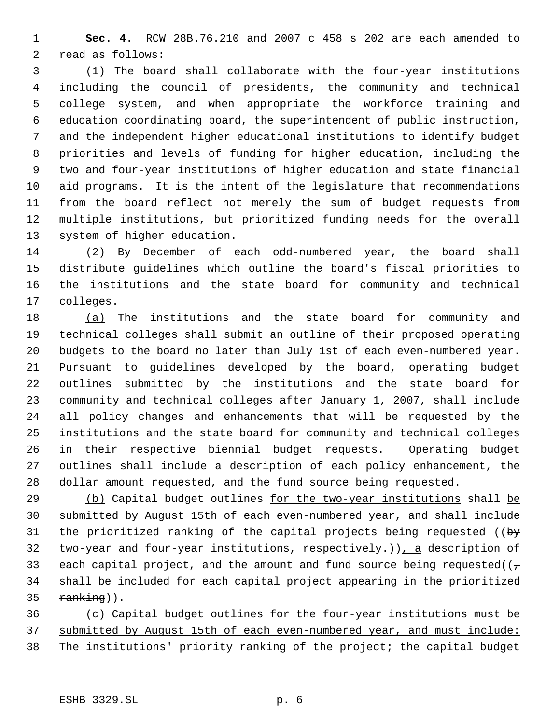**Sec. 4.** RCW 28B.76.210 and 2007 c 458 s 202 are each amended to read as follows:

 (1) The board shall collaborate with the four-year institutions including the council of presidents, the community and technical college system, and when appropriate the workforce training and education coordinating board, the superintendent of public instruction, and the independent higher educational institutions to identify budget priorities and levels of funding for higher education, including the two and four-year institutions of higher education and state financial aid programs. It is the intent of the legislature that recommendations from the board reflect not merely the sum of budget requests from multiple institutions, but prioritized funding needs for the overall system of higher education.

 (2) By December of each odd-numbered year, the board shall distribute guidelines which outline the board's fiscal priorities to the institutions and the state board for community and technical colleges.

 (a) The institutions and the state board for community and 19 technical colleges shall submit an outline of their proposed operating budgets to the board no later than July 1st of each even-numbered year. Pursuant to guidelines developed by the board, operating budget outlines submitted by the institutions and the state board for community and technical colleges after January 1, 2007, shall include all policy changes and enhancements that will be requested by the institutions and the state board for community and technical colleges in their respective biennial budget requests. Operating budget outlines shall include a description of each policy enhancement, the dollar amount requested, and the fund source being requested.

29 (b) Capital budget outlines for the two-year institutions shall be submitted by August 15th of each even-numbered year, and shall include 31 the prioritized ranking of the capital projects being requested ( $\frac{by}{y}$ 32 two-year and four-year institutions, respectively.)  $\int_{\mathcal{L}}$  a description of 33 each capital project, and the amount and fund source being requested( $(\tau$  shall be included for each capital project appearing in the prioritized ranking)).

 (c) Capital budget outlines for the four-year institutions must be submitted by August 15th of each even-numbered year, and must include: The institutions' priority ranking of the project; the capital budget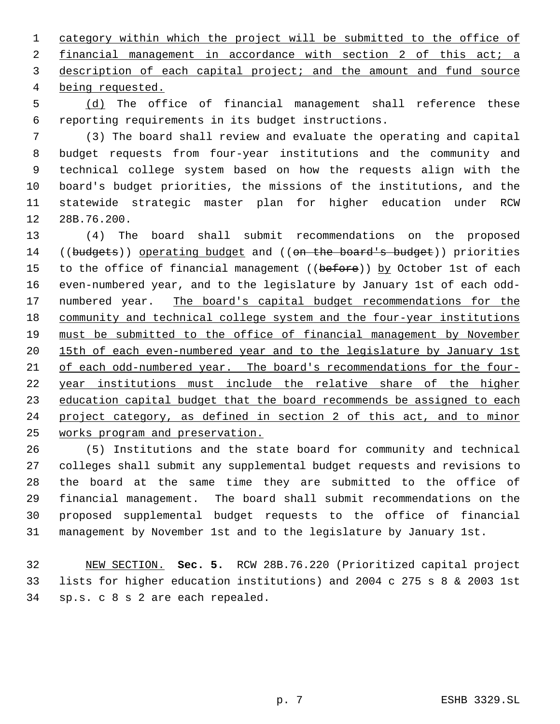category within which the project will be submitted to the office of 2 financial management in accordance with section 2 of this act; a 3 description of each capital project; and the amount and fund source being requested.

5 (d) The office of financial management shall reference these reporting requirements in its budget instructions.

 (3) The board shall review and evaluate the operating and capital budget requests from four-year institutions and the community and technical college system based on how the requests align with the board's budget priorities, the missions of the institutions, and the statewide strategic master plan for higher education under RCW 28B.76.200.

 (4) The board shall submit recommendations on the proposed 14 ((budgets)) operating budget and ((on the board's budget)) priorities 15 to the office of financial management ((before)) by October 1st of each even-numbered year, and to the legislature by January 1st of each odd-17 numbered year. The board's capital budget recommendations for the 18 community and technical college system and the four-year institutions must be submitted to the office of financial management by November 15th of each even-numbered year and to the legislature by January 1st 21 of each odd-numbered year. The board's recommendations for the four- year institutions must include the relative share of the higher 23 education capital budget that the board recommends be assigned to each project category, as defined in section 2 of this act, and to minor works program and preservation.

 (5) Institutions and the state board for community and technical colleges shall submit any supplemental budget requests and revisions to the board at the same time they are submitted to the office of financial management. The board shall submit recommendations on the proposed supplemental budget requests to the office of financial management by November 1st and to the legislature by January 1st.

 NEW SECTION. **Sec. 5.** RCW 28B.76.220 (Prioritized capital project lists for higher education institutions) and 2004 c 275 s 8 & 2003 1st sp.s. c 8 s 2 are each repealed.